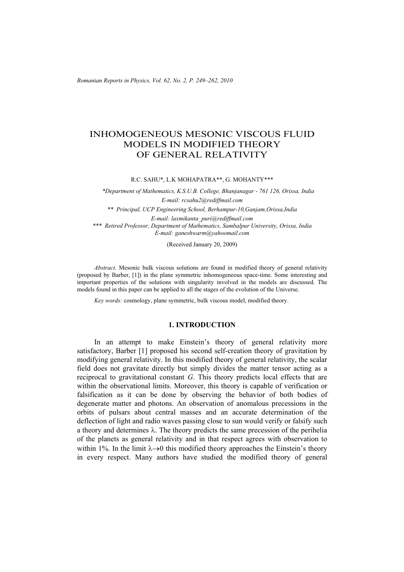*Romanian Reports in Physics, Vol. 62, No. 2, P. 249–262, 2010*

# INHOMOGENEOUS MESONIC VISCOUS FLUID MODELS IN MODIFIED THEORY OF GENERAL RELATIVITY

R.C. SAHU\*, L.K MOHAPATRA\*\*, G. MOHANTY\*\*\*

*\*Department of Mathematics, K.S.U.B. College, Bhanjanagar - 761 126, Orissa, India E-mail: rcsahu2@rediffmail.com \*\* Principal, UCP Engineering School, Berhampur-10,Ganjam,Orissa,India E-mail: laxmikanta\_puri@rediffmail.com \*\*\* Retired Professor, Department of Mathematics, Sambalpur University, Orissa, India E-mail: ganeshwarm@yahoomail.com* 

(Received January 20, 2009)

*Abstract.* Mesonic bulk viscous solutions are found in modified theory of general relativity (proposed by Barber, [1]) in the plane symmetric inhomogeneous space-time. Some interesting and important properties of the solutions with singularity involved in the models are discussed. The models found in this paper can be applied to all the stages of the evolution of the Universe.

*Key words:* cosmology, plane symmetric, bulk viscous model, modified theory.

# **1. INTRODUCTION**

In an attempt to make Einstein's theory of general relativity more satisfactory, Barber [1] proposed his second self-creation theory of gravitation by modifying general relativity. In this modified theory of general relativity, the scalar field does not gravitate directly but simply divides the matter tensor acting as a reciprocal to gravitational constant *G*. This theory predicts local effects that are within the observational limits. Moreover, this theory is capable of verification or falsification as it can be done by observing the behavior of both bodies of degenerate matter and photons. An observation of anomalous precessions in the orbits of pulsars about central masses and an accurate determination of the deflection of light and radio waves passing close to sun would verify or falsify such a theory and determines  $\lambda$ . The theory predicts the same precession of the perihelia of the planets as general relativity and in that respect agrees with observation to within 1%. In the limit  $\lambda \rightarrow 0$  this modified theory approaches the Einstein's theory in every respect. Many authors have studied the modified theory of general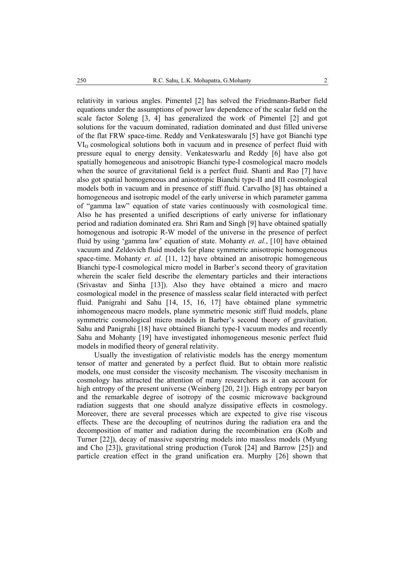relativity in various angles. Pimentel [2] has solved the Friedmann-Barber field equations under the assumptions of power law dependence of the scalar field on the scale factor Soleng [3, 4] has generalized the work of Pimentel [2] and got solutions for the vacuum dominated, radiation dominated and dust filled universe of the flat FRW space-time. Reddy and Venkateswaralu [5] have got Bianchi type  $VI<sub>O</sub>$  cosmological solutions both in vacuum and in presence of perfect fluid with pressure equal to energy density. Venkateswarlu and Reddy [6] have also got spatially homogeneous and anisotropic Bianchi type-I cosmological macro models when the source of gravitational field is a perfect fluid. Shanti and Rao [7] have also got spatial homogeneous and anisotropic Bianchi type-II and III cosmological models both in vacuum and in presence of stiff fluid. Carvalho [8] has obtained a homogeneous and isotropic model of the early universe in which parameter gamma of "gamma law" equation of state varies continuously with cosmological time. Also he has presented a unified descriptions of early universe for inflationary period and radiation dominated era. Shri Ram and Singh [9] have obtained spatially homogenous and isotropic R-W model of the universe in the presence of perfect fluid by using 'gamma law' equation of state. Mohanty *et. al.*, [10] have obtained vacuum and Zeldovich fluid models for plane symmetric anisotropic homogeneous space-time. Mohanty *et. al.* [11, 12] have obtained an anisotropic homogeneous Bianchi type-I cosmological micro model in Barber's second theory of gravitation wherein the scaler field describe the elementary particles and their interactions (Srivastav and Sinha [13]). Also they have obtained a micro and macro cosmological model in the presence of massless scalar field interacted with perfect fluid. Panigrahi and Sahu [14, 15, 16, 17] have obtained plane symmetric inhomogeneous macro models, plane symmetric mesonic stiff fluid models, plane symmetric cosmological micro models in Barber's second theory of gravitation. Sahu and Panigrahi [18] have obtained Bianchi type-I vacuum modes and recently Sahu and Mohanty [19] have investigated inhomogeneous mesonic perfect fluid models in modified theory of general relativity.

 Usually the investigation of relativistic models has the energy momentum tensor of matter and generated by a perfect fluid. But to obtain more realistic models, one must consider the viscosity mechanism. The viscosity mechanism in cosmology has attracted the attention of many researchers as it can account for high entropy of the present universe (Weinberg [20, 21]). High entropy per baryon and the remarkable degree of isotropy of the cosmic microwave background radiation suggests that one should analyze dissipative effects in cosmology. Moreover, there are several processes which are expected to give rise viscous effects. These are the decoupling of neutrinos during the radiation era and the decomposition of matter and radiation during the recombination era (Kolb and Turner [22]), decay of massive superstring models into massless models (Myung and Cho [23]), gravitational string production (Turok [24] and Barrow [25]) and particle creation effect in the grand unification era. Murphy [26] shown that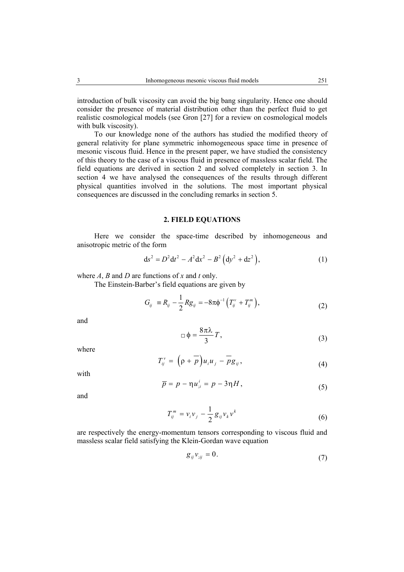introduction of bulk viscosity can avoid the big bang singularity. Hence one should consider the presence of material distribution other than the perfect fluid to get realistic cosmological models (see Gron [27] for a review on cosmological models with bulk viscosity).

To our knowledge none of the authors has studied the modified theory of general relativity for plane symmetric inhomogeneous space time in presence of mesonic viscous fluid. Hence in the present paper, we have studied the consistency of this theory to the case of a viscous fluid in presence of massless scalar field. The field equations are derived in section 2 and solved completely in section 3. In section 4 we have analysed the consequences of the results through different physical quantities involved in the solutions. The most important physical consequences are discussed in the concluding remarks in section 5.

## **2. FIELD EQUATIONS**

Here we consider the space-time described by inhomogeneous and anisotropic metric of the form

$$
ds^{2} = D^{2}dt^{2} - A^{2}dx^{2} - B^{2}(dy^{2} + dz^{2}),
$$
 (1)

where *A*, *B* and *D* are functions of *x* and *t* only.

The Einstein-Barber's field equations are given by

$$
G_{ij} = R_{ij} - \frac{1}{2} R g_{ij} = -8\pi \phi^{-1} \left( T_{ij}^{\nu} + T_{ij}^m \right), \qquad (2)
$$

and

$$
\Box \phi = \frac{8\pi\lambda}{3}T,\tag{3}
$$

where

$$
T_{ij}^{\nu} = \left(\rho + \overline{\rho}\right) u_i u_j - \overline{\rho} g_{ij}, \qquad (4)
$$

with

$$
\overline{p} = p - \eta u_{;i}^i = p - 3\eta H,\tag{5}
$$

and

$$
T_{ij}^m = v_i v_j - \frac{1}{2} g_{ij} v_k v^k
$$
\n
$$
(6)
$$

are respectively the energy-momentum tensors corresponding to viscous fluid and massless scalar field satisfying the Klein-Gordan wave equation

$$
g_{ij}v_{;ij}=0.\t\t(7)
$$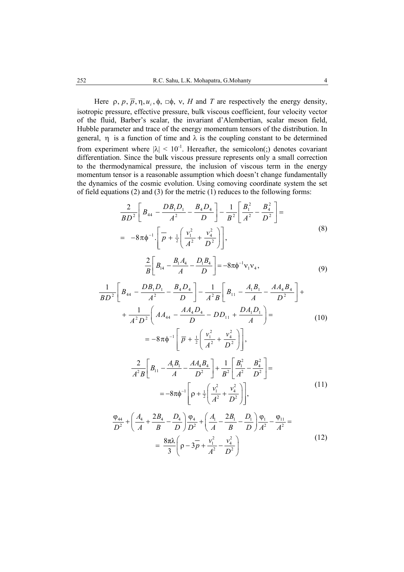Here  $\rho$ ,  $p$ ,  $\overline{p}$ ,  $\eta$ ,  $u_i$ ,  $\phi$ ,  $\Box \phi$ ,  $v$ , *H* and *T* are respectively the energy density, isotropic pressure, effective pressure, bulk viscous coefficient, four velocity vector of the fluid, Barber's scalar, the invariant d'Alembertian, scalar meson field, Hubble parameter and trace of the energy momentum tensors of the distribution. In general,  $\eta$  is a function of time and  $\lambda$  is the coupling constant to be determined from experiment where  $|\lambda| < 10^{-1}$ . Hereafter, the semicolon(;) denotes covariant differentiation. Since the bulk viscous pressure represents only a small correction to the thermodynamical pressure, the inclusion of viscous term in the energy momentum tensor is a reasonable assumption which doesn't change fundamentally the dynamics of the cosmic evolution. Using comoving coordinate system the set of field equations (2) and (3) for the metric (1) reduces to the following forms:

$$
\frac{2}{BD^2} \left[ B_{44} - \frac{DB_1 D_1}{A^2} - \frac{B_4 D_4}{D} \right] - \frac{1}{B^2} \left[ \frac{B_1^2}{A^2} - \frac{B_4^2}{D^2} \right] =
$$
  
=  $-8\pi \phi^{-1} \cdot \left[ \overline{p} + \frac{1}{2} \left( \frac{v_1^2}{A^2} + \frac{v_4^2}{D^2} \right) \right],$  (8)

$$
\frac{2}{B} \left[ B_{14} - \frac{B_1 A_4}{A} - \frac{D_1 B_4}{D} \right] = -8\pi \phi^{-1} v_1 v_4, \qquad (9)
$$

$$
\frac{1}{BD^2} \left[ B_{44} - \frac{DB_1D_1}{A^2} - \frac{B_4D_4}{D} \right] - \frac{1}{A^2B} \left[ B_{11} - \frac{A_1B_1}{A} - \frac{AA_4B_4}{D^2} \right] +
$$
  
+ 
$$
\frac{1}{A^2D^2} \left( AA_{44} - \frac{AA_4D_4}{D} - DD_{11} + \frac{DA_1D_1}{A} \right) =
$$
  
= 
$$
-8\pi\phi^{-1} \left[ \overline{p} + \frac{1}{2} \left( \frac{v_1^2}{A^2} + \frac{v_4^2}{D^2} \right) \right],
$$
  

$$
\frac{2}{A^2B} \left[ B_{11} - \frac{A_1B_1}{A} - \frac{AA_4B_4}{D^2} \right] + \frac{1}{B^2} \left[ \frac{B_1^2}{A^2} - \frac{B_4^2}{D^2} \right] =
$$
  
= 
$$
-8\pi\phi^{-1} \left[ \rho + \frac{1}{2} \left( \frac{v_1^2}{A^2} + \frac{v_4^2}{D^2} \right) \right],
$$
(11)

$$
\frac{\varphi_{44}}{D^2} + \left(\frac{A_4}{A} + \frac{2B_4}{B} - \frac{D_4}{D}\right)\frac{\varphi_4}{D^2} + \left(\frac{A_1}{A} - \frac{2B_1}{B} - \frac{D_1}{D}\right)\frac{\varphi_1}{A^2} - \frac{\varphi_{11}}{A^2} =
$$
\n
$$
= \frac{8\pi\lambda}{3}\left(\rho - 3\overline{\rho} + \frac{v_1^2}{A^2} - \frac{v_4^2}{D^2}\right)
$$
\n(12)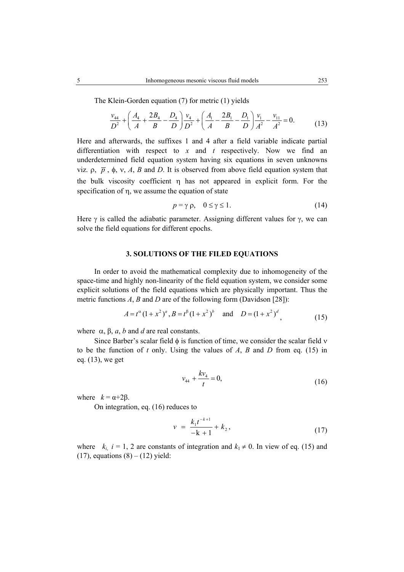The Klein-Gorden equation (7) for metric (1) yields

$$
\frac{v_{44}}{D^2} + \left(\frac{A_4}{A} + \frac{2B_4}{B} - \frac{D_4}{D}\right)\frac{v_4}{D^2} + \left(\frac{A_1}{A} - \frac{2B_1}{B} - \frac{D_1}{D}\right)\frac{v_1}{A^2} - \frac{v_{11}}{A^2} = 0.
$$
 (13)

Here and afterwards, the suffixes 1 and 4 after a field variable indicate partial differentiation with respect to *x* and *t* respectively. Now we find an underdetermined field equation system having six equations in seven unknowns viz.  $ρ$ ,  $p$ ,  $φ$ , v, *A*, *B* and *D*. It is observed from above field equation system that the bulk viscosity coefficient η has not appeared in explicit form. For the specification of η, we assume the equation of state

$$
p = \gamma \rho, \quad 0 \le \gamma \le 1. \tag{14}
$$

Here  $\gamma$  is called the adiabatic parameter. Assigning different values for  $\gamma$ , we can solve the field equations for different epochs.

### **3. SOLUTIONS OF THE FILED EQUATIONS**

 In order to avoid the mathematical complexity due to inhomogeneity of the space-time and highly non-linearity of the field equation system, we consider some explicit solutions of the field equations which are physically important. Thus the metric functions *A*, *B* and *D* are of the following form (Davidson [28]):

$$
A = t^{\alpha} (1 + x^2)^a, B = t^{\beta} (1 + x^2)^b \quad \text{and} \quad D = (1 + x^2)^d
$$
\n(15)

where  $\alpha$ ,  $\beta$ ,  $\alpha$ ,  $\beta$  and  $\beta$  are real constants.

 Since Barber's scalar field φ is function of time, we consider the scalar field ν to be the function of *t* only. Using the values of *A*, *B* and *D* from eq. (15) in eq. (13), we get

$$
v_{44} + \frac{k v_4}{t} = 0,\t\t(16)
$$

where  $k = \alpha + 2\beta$ .

On integration, eq. (16) reduces to

$$
v = \frac{k_1 t^{-k+1}}{-k+1} + k_2, \tag{17}
$$

where  $k_i$ ,  $i = 1, 2$  are constants of integration and  $k_1 \neq 0$ . In view of eq. (15) and (17), equations  $(8) - (12)$  yield: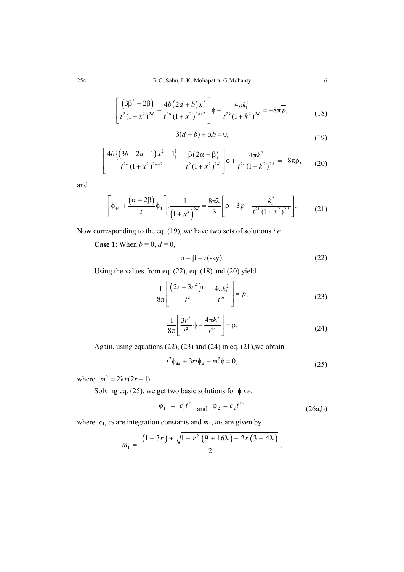$$
\left[ \frac{\left(3\beta^2 - 2\beta\right)}{t^2 (1 + x^2)^{2d}} - \frac{4b \left(2d + b\right) x^2}{t^{2\alpha} (1 + x^2)^{2a + 2}} \right] \phi + \frac{4\pi k_1^2}{t^{2k} (1 + k^2)^{2d}} = -8\pi \overline{p},\tag{18}
$$

$$
\beta(d-b) + \alpha b = 0,\tag{19}
$$

$$
\left[\frac{4b\{(3b-2a-1)x^2+1\}}{t^{2\alpha}(1+x^2)^{2a+2}}-\frac{\beta(2\alpha+\beta)}{t^2(1+x^2)^{2d}}\right]\phi+\frac{4\pi k_1^2}{t^{2k}(1+k^2)^{2d}}=-8\pi\rho,
$$
 (20)

and

$$
\left[\phi_{44} + \frac{(\alpha + 2\beta)}{t} \phi_4\right] \cdot \frac{1}{\left(1 + x^2\right)^{2d}} = \frac{8\pi\lambda}{3} \left[\rho - 3\overline{p} - \frac{k_1^2}{t^{2k} \left(1 + x^2\right)^{2d}}\right].
$$
 (21)

Now corresponding to the eq. (19), we have two sets of solutions *i.e.*

**Case 1**: When  $b = 0$ ,  $d = 0$ ,

$$
\alpha = \beta = r(\text{say}).\tag{22}
$$

Using the values from eq. (22), eq. (18) and (20) yield

$$
\frac{1}{8\pi} \left[ \frac{(2r - 3r^2)\phi}{t^2} - \frac{4\pi k_1^2}{t^{6r}} \right] = \overline{p},\tag{23}
$$

$$
\frac{1}{8\pi} \left[ \frac{3r^2}{t^2} \phi - \frac{4\pi k_1^2}{t^{6r}} \right] = \rho.
$$
 (24)

Again, using equations (22), (23) and (24) in eq. (21),we obtain

$$
t^2 \phi_{44} + 3rt\phi_4 - m^2 \phi = 0, \tag{25}
$$

where  $m^2 = 2\lambda r(2r - 1)$ .

Solving eq. (25), we get two basic solutions for  $\phi$  *i.e.* 

$$
\varphi_1 = c_1 t^{m_1} \text{ and } \varphi_2 = c_2 t^{m_2} \tag{26a,b}
$$

where  $c_1$ ,  $c_2$  are integration constants and  $m_1$ ,  $m_2$  are given by

$$
m_1 = \frac{(1-3r) + \sqrt{1+r^2(9+16\lambda)-2r(3+4\lambda)}}{2},
$$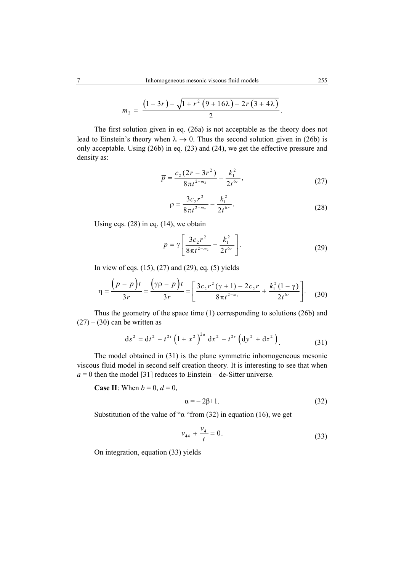$$
m_2 = \frac{(1-3r) - \sqrt{1+r^2(9+16\lambda)-2r(3+4\lambda)}}{2}.
$$

The first solution given in eq. (26a) is not acceptable as the theory does not lead to Einstein's theory when  $\lambda \rightarrow 0$ . Thus the second solution given in (26b) is only acceptable. Using (26b) in eq. (23) and (24), we get the effective pressure and density as:

$$
\overline{p} = \frac{c_2 (2r - 3r^2)}{8\pi t^{2-m_2}} - \frac{k_1^2}{2t^{6r}},
$$
\n(27)

$$
\rho = \frac{3c_2 r^2}{8\pi t^{2-m_2}} - \frac{k_1^2}{2t^{6r}}.
$$
\n(28)

Using eqs. (28) in eq. (14), we obtain

$$
p = \gamma \left[ \frac{3c_2 r^2}{8\pi t^{2-m_2}} - \frac{k_1^2}{2t^{6r}} \right].
$$
 (29)

In view of eqs. (15), (27) and (29), eq. (5) yields

$$
\eta = \frac{\left(p - \overline{p}\right)t}{3r} = \frac{\left(\gamma \rho - \overline{p}\right)t}{3r} = \left[\frac{3c_2 r^2 \left(\gamma + 1\right) - 2c_2 r}{8\pi t^{2-m_2}} + \frac{k_1^2 (1 - \gamma)}{2t^{6r}}\right].
$$
 (30)

Thus the geometry of the space time (1) corresponding to solutions (26b) and  $(27) - (30)$  can be written as

$$
ds^{2} = dt^{2} - t^{2r} \left(1 + x^{2}\right)^{2a} dx^{2} - t^{2r} \left(dy^{2} + dz^{2}\right).
$$
 (31)

The model obtained in (31) is the plane symmetric inhomogeneous mesonic viscous fluid model in second self creation theory. It is interesting to see that when  $a = 0$  then the model [31] reduces to Einstein – de-Sitter universe.

**Case II**: When  $b = 0$ ,  $d = 0$ ,

$$
\alpha = -2\beta + 1. \tag{32}
$$

Substitution of the value of " $\alpha$  "from (32) in equation (16), we get

$$
v_{44} + \frac{v_4}{t} = 0. \tag{33}
$$

On integration, equation (33) yields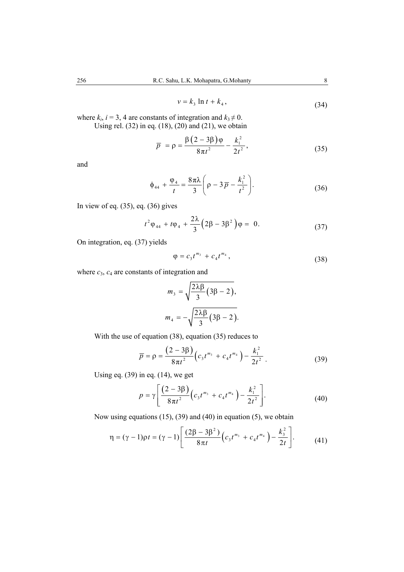$$
v = k_3 \ln t + k_4, \tag{34}
$$

where  $k_i$ ,  $i = 3$ , 4 are constants of integration and  $k_3 \neq 0$ . Using rel. (32) in eq. (18), (20) and (21), we obtain

$$
\overline{p} = \rho = \frac{\beta (2 - 3\beta)\varphi}{8\pi t^2} - \frac{k_1^2}{2t^2},
$$
\n(35)

and

$$
\phi_{44} + \frac{\phi_4}{t} = \frac{8\pi\lambda}{3} \left( \rho - 3\overline{p} - \frac{k_1^2}{t^2} \right).
$$
 (36)

In view of eq. (35), eq. (36) gives

$$
t^2 \varphi_{44} + t \varphi_4 + \frac{2\lambda}{3} \left( 2\beta - 3\beta^2 \right) \varphi = 0. \tag{37}
$$

On integration, eq. (37) yields

$$
\varphi = c_3 t^{m_3} + c_4 t^{m_4}, \qquad (38)
$$

where  $c_3$ ,  $c_4$  are constants of integration and

$$
m_3 = \sqrt{\frac{2\lambda\beta}{3}(3\beta - 2)},
$$

$$
m_4 = -\sqrt{\frac{2\lambda\beta}{3}(3\beta - 2)}.
$$

With the use of equation (38), equation (35) reduces to

$$
\overline{p} = \rho = \frac{(2 - 3\beta)}{8\pi t^2} \Big( c_3 t^{m_3} + c_4 t^{m_4} \Big) - \frac{k_1^2}{2t^2} \,. \tag{39}
$$

Using eq.  $(39)$  in eq.  $(14)$ , we get

$$
p = \gamma \left[ \frac{(2-3\beta)}{8\pi t^2} \Big( c_3 t^{m_3} + c_4 t^{m_4} \Big) - \frac{k_1^2}{2t^2} \right].
$$
 (40)

Now using equations (15), (39) and (40) in equation (5), we obtain

$$
\eta = (\gamma - 1)\rho t = (\gamma - 1)\left[\frac{(2\beta - 3\beta^2)}{8\pi t}\left(c_3 t^{m_3} + c_4 t^{m_4}\right) - \frac{k_3^2}{2t}\right].
$$
 (41)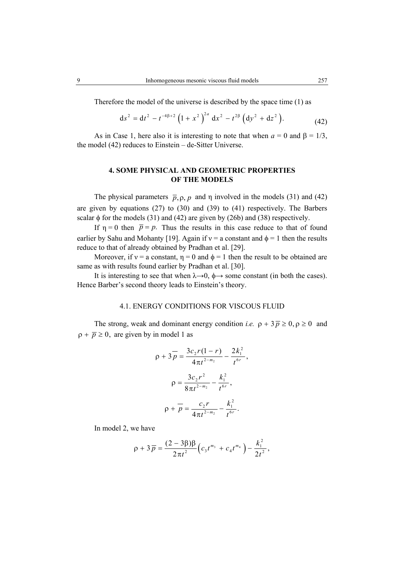Therefore the model of the universe is described by the space time (1) as

$$
ds^{2} = dt^{2} - t^{-4\beta+2} \left(1 + x^{2}\right)^{2a} dx^{2} - t^{2\beta} \left(dy^{2} + dz^{2}\right).
$$
 (42)

As in Case 1, here also it is interesting to note that when  $a = 0$  and  $\beta = 1/3$ , the model (42) reduces to Einstein – de-Sitter Universe.

# **4. SOME PHYSICAL AND GEOMETRIC PROPERTIES OF THE MODELS**

The physical parameters  $\bar{p}, \rho, p$  and  $\eta$  involved in the models (31) and (42) are given by equations (27) to (30) and (39) to (41) respectively. The Barbers scalar  $\phi$  for the models (31) and (42) are given by (26b) and (38) respectively.

If  $\eta = 0$  then  $\bar{p} = p$ . Thus the results in this case reduce to that of found earlier by Sahu and Mohanty [19]. Again if  $v = a$  constant and  $\phi = 1$  then the results reduce to that of already obtained by Pradhan et al. [29].

Moreover, if  $v = a$  constant,  $\eta = 0$  and  $\phi = 1$  then the result to be obtained are same as with results found earlier by Pradhan et al. [30].

It is interesting to see that when  $\lambda \rightarrow 0$ ,  $\phi \rightarrow$  some constant (in both the cases). Hence Barber's second theory leads to Einstein's theory.

## 4.1. ENERGY CONDITIONS FOR VISCOUS FLUID

The strong, weak and dominant energy condition *i.e.*  $\rho + 3\bar{p} \ge 0$ ,  $\rho \ge 0$  and  $\rho + \overline{p} \ge 0$ , are given by in model 1 as

$$
\rho + 3\overline{p} = \frac{3c_2r(1-r)}{4\pi t^{2-m_2}} - \frac{2k_1^2}{t^{6r}},
$$

$$
\rho = \frac{3c_2r^2}{8\pi t^{2-m_2}} - \frac{k_1^2}{t^{6r}},
$$

$$
\rho + \overline{p} = \frac{c_2r}{4\pi t^{2-m_2}} - \frac{k_1^2}{t^{6r}}.
$$

In model 2, we have

$$
\rho + 3\overline{p} = \frac{(2-3\beta)\beta}{2\pi t^2} \Big(c_3 t^{m_3} + c_4 t^{m_4}\Big) - \frac{k_1^2}{2t^2},
$$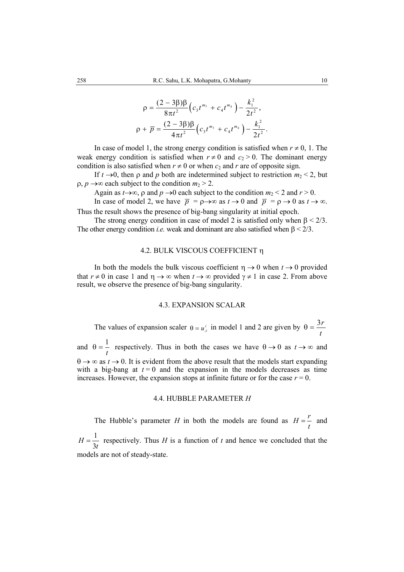$$
\rho = \frac{(2-3\beta)\beta}{8\pi t^2} \Big(c_3 t^{m_3} + c_4 t^{m_4}\Big) - \frac{k_1^2}{2t^2},
$$
  

$$
\rho + \overline{p} = \frac{(2-3\beta)\beta}{4\pi t^2} \Big(c_3 t^{m_3} + c_4 t^{m_4}\Big) - \frac{k_1^2}{2t^2}.
$$

In case of model 1, the strong energy condition is satisfied when  $r \neq 0, 1$ . The weak energy condition is satisfied when  $r \neq 0$  and  $c_2 > 0$ . The dominant energy condition is also satisfied when  $r \neq 0$  or when  $c_2$  and  $r$  are of opposite sign.

If  $t \rightarrow 0$ , then  $\rho$  and  $p$  both are indetermined subject to restriction  $m_2 < 2$ , but  $\rho$ ,  $p \rightarrow \infty$  each subject to the condition  $m_2 > 2$ .

Again as  $t \rightarrow \infty$ ,  $\rho$  and  $p \rightarrow 0$  each subject to the condition  $m_2 < 2$  and  $r > 0$ .

In case of model 2, we have  $\overline{p} = \rho \rightarrow \infty$  as  $t \rightarrow 0$  and  $\overline{p} = \rho \rightarrow 0$  as  $t \rightarrow \infty$ . Thus the result shows the presence of big-bang singularity at initial epoch.

The strong energy condition in case of model 2 is satisfied only when  $\beta < 2/3$ . The other energy condition *i.e.* weak and dominant are also satisfied when  $\beta < 2/3$ .

#### 4.2. BULK VISCOUS COEFFICIENT η

In both the models the bulk viscous coefficient  $\eta \rightarrow 0$  when  $t \rightarrow 0$  provided that  $r \neq 0$  in case 1 and  $\eta \rightarrow \infty$  when  $t \rightarrow \infty$  provided  $\gamma \neq 1$  in case 2. From above result, we observe the presence of big-bang singularity.

#### 4.3. EXPANSION SCALAR

The values of expansion scaler  $\theta = u_i^i$  in model 1 and 2 are given by  $\theta = \frac{3r}{t}$  $\theta =$ and  $\theta = \frac{1}{\sqrt{2}}$ *t*  $\theta = -$  respectively. Thus in both the cases we have  $\theta \rightarrow 0$  as  $t \rightarrow \infty$  and  $\theta \rightarrow \infty$  as  $t \rightarrow 0$ . It is evident from the above result that the models start expanding with a big-bang at  $t = 0$  and the expansion in the models decreases as time increases. However, the expansion stops at infinite future or for the case  $r = 0$ .

#### 4.4. HUBBLE PARAMETER *H*

The Hubble's parameter *H* in both the models are found as  $H = \frac{r}{t}$  and

1 3  $H = \frac{1}{3t}$  respectively. Thus *H* is a function of *t* and hence we concluded that the models are not of steady-state.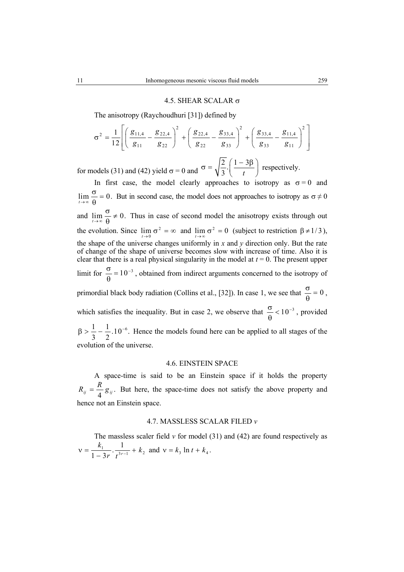#### 4.5. SHEAR SCALAR  $σ$

The anisotropy (Raychoudhuri [31]) defined by

$$
\sigma^{2} = \frac{1}{12} \left[ \left( \frac{g_{11,4}}{g_{11}} - \frac{g_{22,4}}{g_{22}} \right)^{2} + \left( \frac{g_{22,4}}{g_{22}} - \frac{g_{33,4}}{g_{33}} \right)^{2} + \left( \frac{g_{33,4}}{g_{33}} - \frac{g_{11,4}}{g_{11}} \right)^{2} \right]
$$

for models (31) and (42) yield  $\sigma = 0$  and  $\sigma = \sqrt{\frac{2}{3}} \cdot \left( \frac{1-3}{t} \right)$  $\sigma = \sqrt{\frac{2}{3}} \cdot \left( \frac{1 - 3\beta}{t} \right)$  respectively.

In first case, the model clearly approaches to isotropy as  $\sigma = 0$  and  $\lim_{t \to \infty} \frac{\sigma}{\theta} = 0$ . But in second case, the model does not approaches to isotropy as  $\sigma \neq 0$ and  $\lim_{t\to\infty} \frac{\theta}{\theta} \neq 0$ .  $\frac{\sigma}{\theta} \neq 0$ . Thus in case of second model the anisotropy exists through out the evolution. Since  $\lim_{t \to 0} \sigma^2 = \infty$  and  $\lim_{t \to \infty} \sigma^2 = 0$  (subject to restriction  $\beta \neq 1/3$ ), the shape of the universe changes uniformly in *x* and *y* direction only. But the rate of change of the shape of universe becomes slow with increase of time. Also it is clear that there is a real physical singularity in the model at  $t = 0$ . The present upper limit for  $\frac{\sigma}{0} = 10^{-3}$ , obtained from indirect arguments concerned to the isotropy of primordial black body radiation (Collins et al., [32]). In case 1, we see that  $\frac{\sigma}{\rho} = 0$ , which satisfies the inequality. But in case 2, we observe that  $\frac{\sigma}{\theta} < 10^{-3}$ , provided  $\frac{1}{2} - \frac{1}{2}$ .10<sup>-6</sup>. 3 2  $\beta > \frac{1}{2} - \frac{1}{2}$ . 10<sup>-6</sup>. Hence the models found here can be applied to all stages of the evolution of the universe.

# 4.6. EINSTEIN SPACE

A space-time is said to be an Einstein space if it holds the property  $R_{ij} = \frac{R}{4} g_{ij}$ . But here, the space-time does not satisfy the above property and hence not an Einstein space.

#### 4.7. MASSLESS SCALAR FILED *v*

The massless scaler field  $\nu$  for model (31) and (42) are found respectively as  $v = \frac{k_1}{1 - 3r} \cdot \frac{1}{t^{3r-1}} + k_2$  and  $v = k_3 \ln t + k_4$ .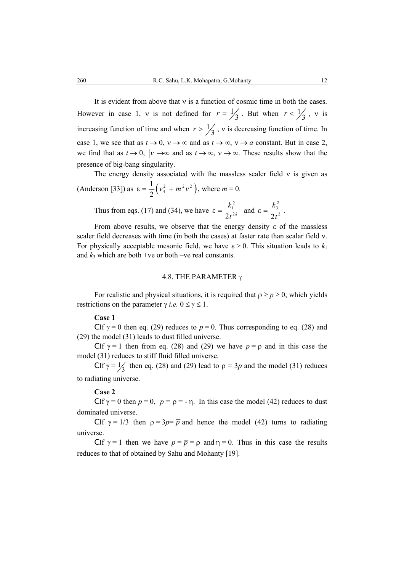It is evident from above that ν is a function of cosmic time in both the cases. However in case 1, v is not defined for  $r = \frac{1}{3}$ . But when  $r < \frac{1}{3}$ , v is increasing function of time and when  $r > \frac{1}{3}$ , v is decreasing function of time. In case 1, we see that as  $t \to 0$ ,  $v \to \infty$  and as  $t \to \infty$ ,  $v \to a$  constant. But in case 2, we find that as  $t \to 0$ ,  $|v| \to \infty$  and as  $t \to \infty$ ,  $v \to \infty$ . These results show that the presence of big-bang singularity.

The energy density associated with the massless scaler field  $v$  is given as (Anderson [33]) as  $\varepsilon = \frac{1}{2} (v_4^2 + m^2 v^2)$ , where  $m = 0$ .

 Thus from eqs. (17) and (34), we have 2 1  $2t^{2k}$ *k t*  $\varepsilon = \frac{R_1}{\sqrt{2\pi}}$  and  $\frac{k_3^2}{2t^2}$ . *t*  $\epsilon = \frac{n_3}{2}$ .

From above results, we observe that the energy density  $\varepsilon$  of the massless scaler field decreases with time (in both the cases) at faster rate than scalar field ν. For physically acceptable mesonic field, we have  $\varepsilon > 0$ . This situation leads to  $k_1$ and  $k_3$  which are both +ve or both –ve real constants.

# 4.8. THE PARAMETER γ

For realistic and physical situations, it is required that  $\rho \ge p \ge 0$ , which yields restrictions on the parameter  $\gamma$  *i.e.*  $0 \le \gamma \le 1$ .

#### **Case 1**

CIf  $\gamma = 0$  then eq. (29) reduces to  $p = 0$ . Thus corresponding to eq. (28) and (29) the model (31) leads to dust filled universe.

CIf  $\gamma = 1$  then from eq. (28) and (29) we have  $p = \rho$  and in this case the model (31) reduces to stiff fluid filled universe.

CIf  $\gamma = \frac{1}{3}$  then eq. (28) and (29) lead to  $\rho = 3p$  and the model (31) reduces to radiating universe.

#### **Case 2**

CIf  $\gamma = 0$  then  $p = 0$ ,  $\bar{p} = \rho = -\eta$ . In this case the model (42) reduces to dust dominated universe.

CIf  $\gamma = 1/3$  then  $\rho = 3p = \overline{p}$  and hence the model (42) turns to radiating universe.

CIf  $\gamma = 1$  then we have  $p = \overline{p} = \rho$  and  $\eta = 0$ . Thus in this case the results reduces to that of obtained by Sahu and Mohanty [19].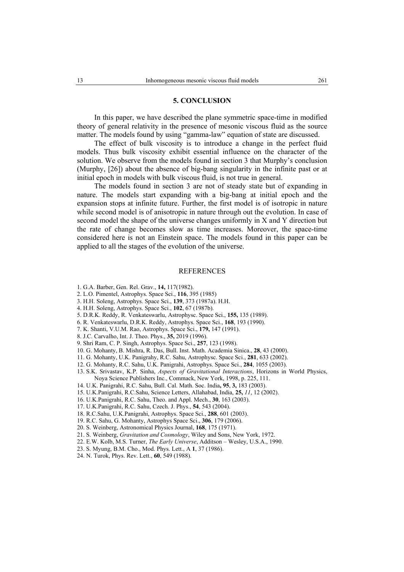#### **5. CONCLUSION**

 In this paper, we have described the plane symmetric space-time in modified theory of general relativity in the presence of mesonic viscous fluid as the source matter. The models found by using "gamma-law" equation of state are discussed.

 The effect of bulk viscosity is to introduce a change in the perfect fluid models. Thus bulk viscosity exhibit essential influence on the character of the solution. We observe from the models found in section 3 that Murphy's conclusion (Murphy, [26]) about the absence of big-bang singularity in the infinite past or at initial epoch in models with bulk viscous fluid, is not true in general.

 The models found in section 3 are not of steady state but of expanding in nature. The models start expanding with a big-bang at initial epoch and the expansion stops at infinite future. Further, the first model is of isotropic in nature while second model is of anisotropic in nature through out the evolution. In case of second model the shape of the universe changes uniformly in X and Y direction but the rate of change becomes slow as time increases. Moreover, the space-time considered here is not an Einstein space. The models found in this paper can be applied to all the stages of the evolution of the universe.

#### **REFERENCES**

- 1. G.A. Barber, Gen. Rel. Grav., **14,** 117(1982).
- 2. L.O. Pimentel, Astrophys. Space Sci., **116**, 395 (1985)
- 3. H.H. Soleng, Astrophys. Space Sci., **139**, 373 (1987a). H.H.
- 4. H.H. Soleng, Astrophys. Space Sci., **102**, 67 (1987b).
- 5. D.R.K. Reddy, R. Venkateswarlu, Astrophysc. Space Sci., **155,** 135 (1989).
- 6. R. Venkateswarlu, D.R.K. Reddy, Astrophys. Space Sci., **168**, 193 (1990).
- 7. K. Shanti, V.U.M. Rao, Astrophys. Space Sci., **179,** 147 (1991).
- 8. J.C. Carvalho, Int. J. Theo. Phys., **35,** 2019 (1996).
- 9. Shri Ram, C. P. Singh, Astrophys. Space Sci., **257**, 123 (1998).
- 10. G. Mohanty, B. Mishra, R. Das, Bull. Inst. Math. Academia Sinica., **28**, 43 (2000).
- 11. G. Mohanty, U.K. Panigrahy, R.C. Sahu, Astrophysc. Space Sci., **281**, 633 (2002).
- 12. G. Mohanty, R.C. Sahu, U.K. Panigrahi, Astrophys. Space Sci., **284**, 1055 (2003).
- 13. S.K. Srivastav, K.P. Sinha, *Aspects of Gravitational Interactions*, Horizons in World Physics, Noya Science Publishers Inc., Commack, New York, 1998, p. 225, 111.
- 14. U.K. Panigrahi, R.C. Sahu, Bull. Cal. Math. Soc. India**, 95**, **3,** 183 (2003).
- 15. U.K.Panigrahi, R.C.Sahu, Science Letters, Allahabad, India, **25,** *11*, 12 (2002).
- 16. U.K.Panigrahi, R.C. Sahu, Theo. and Appl. Mech., **30**, 163 (2003).
- 17. U.K.Panigrahi, R.C. Sahu, Czech. J. Phys., **54**, 543 (2004).
- 18. R.C.Sahu, U.K.Panigrahi, Astrophys. Space Sci., **288**, 601 (2003).
- 19. R.C. Sahu, G. Mohanty, Astrophys Space Sci., **306**, 179 (2006).
- 20. S. Weinberg, Astronomical Physics Journal, **168**, 175 (1971).
- 21. S. Weinberg, *Gravitation and Cosmology*, Wiley and Sons, New York, 1972.
- 22. E.W. Kolb, M.S. Turner, *The Early Universe*, Additson Wesley, U.S.A., 1990.
- 23. S. Myung, B.M. Cho., Mod. Phys. Lett., A **1**, 37 (1986).
- 24. N. Turok, Phys. Rev. Lett., **60**, 549 (1988).